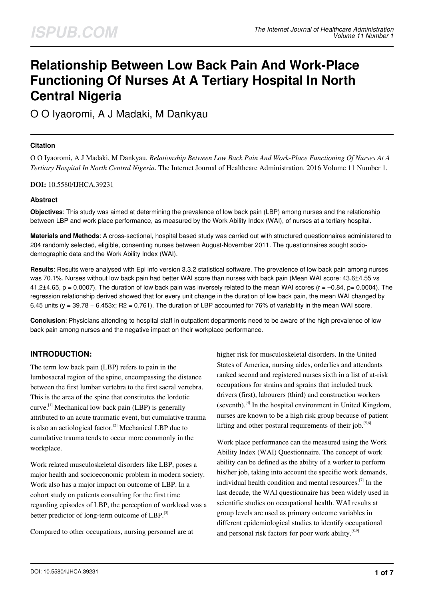# **Relationship Between Low Back Pain And Work-Place Functioning Of Nurses At A Tertiary Hospital In North Central Nigeria**

O O Iyaoromi, A J Madaki, M Dankyau

## **Citation**

O O Iyaoromi, A J Madaki, M Dankyau. *Relationship Between Low Back Pain And Work-Place Functioning Of Nurses At A Tertiary Hospital In North Central Nigeria*. The Internet Journal of Healthcare Administration. 2016 Volume 11 Number 1.

## **DOI:** [10.5580/IJHCA.39231](https://ispub.com/doi/10.5580/IJHCA.39231)

## **Abstract**

**Objectives**: This study was aimed at determining the prevalence of low back pain (LBP) among nurses and the relationship between LBP and work place performance, as measured by the Work Ability Index (WAI), of nurses at a tertiary hospital.

**Materials and Methods**: A cross-sectional, hospital based study was carried out with structured questionnaires administered to 204 randomly selected, eligible, consenting nurses between August-November 2011. The questionnaires sought sociodemographic data and the Work Ability Index (WAI).

**Results**: Results were analysed with Epi info version 3.3.2 statistical software. The prevalence of low back pain among nurses was 70.1%. Nurses without low back pain had better WAI score than nurses with back pain (Mean WAI score: 43.6±4.55 vs 41.2 $\pm$ 4.65, p = 0.0007). The duration of low back pain was inversely related to the mean WAI scores ( $r = -0.84$ , p= 0.0004). The regression relationship derived showed that for every unit change in the duration of low back pain, the mean WAI changed by 6.45 units (y =  $39.78 + 6.453x$ ; R2 = 0.761). The duration of LBP accounted for 76% of variability in the mean WAI score.

**Conclusion**: Physicians attending to hospital staff in outpatient departments need to be aware of the high prevalence of low back pain among nurses and the negative impact on their workplace performance.

# **INTRODUCTION:**

The term low back pain (LBP) refers to pain in the lumbosacral region of the spine, encompassing the distance between the first lumbar vertebra to the first sacral vertebra. This is the area of the spine that constitutes the lordotic curve.<sup>[1]</sup> Mechanical low back pain (LBP) is generally attributed to an acute traumatic event, but cumulative trauma is also an aetiological factor.<sup>[2]</sup> Mechanical LBP due to cumulative trauma tends to occur more commonly in the workplace.

Work related musculoskeletal disorders like LBP, poses a major health and socioeconomic problem in modern society. Work also has a major impact on outcome of LBP. In a cohort study on patients consulting for the first time regarding episodes of LBP, the perception of workload was a better predictor of long-term outcome of LBP.<sup>[3]</sup>

Compared to other occupations, nursing personnel are at

higher risk for musculoskeletal disorders. In the United States of America, nursing aides, orderlies and attendants ranked second and registered nurses sixth in a list of at-risk occupations for strains and sprains that included truck drivers (first), labourers (third) and construction workers (seventh). $^{[4]}$  In the hospital environment in United Kingdom, nurses are known to be a high risk group because of patient lifting and other postural requirements of their job.<sup>[5,6]</sup>

Work place performance can the measured using the Work Ability Index (WAI) Questionnaire. The concept of work ability can be defined as the ability of a worker to perform his/her job, taking into account the specific work demands, individual health condition and mental resources.<sup>[7]</sup> In the last decade, the WAI questionnaire has been widely used in scientific studies on occupational health. WAI results at group levels are used as primary outcome variables in different epidemiological studies to identify occupational and personal risk factors for poor work ability. $[8,9]$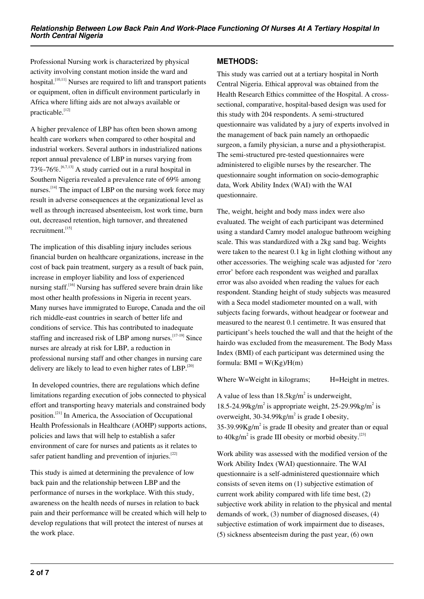Professional Nursing work is characterized by physical activity involving constant motion inside the ward and hospital.<sup>[10,11]</sup> Nurses are required to lift and transport patients or equipment, often in difficult environment particularly in Africa where lifting aids are not always available or practicable.<sup>[12]</sup>

A higher prevalence of LBP has often been shown among health care workers when compared to other hospital and industrial workers. Several authors in industrialized nations report annual prevalence of LBP in nurses varying from 73%-76%.<sup>[6,7,13]</sup> A study carried out in a rural hospital in Southern Nigeria revealed a prevalence rate of 69% among nurses.<sup>[14]</sup> The impact of LBP on the nursing work force may result in adverse consequences at the organizational level as well as through increased absenteeism, lost work time, burn out, decreased retention, high turnover, and threatened recruitment.<sup>[15]</sup>

The implication of this disabling injury includes serious financial burden on healthcare organizations, increase in the cost of back pain treatment, surgery as a result of back pain, increase in employer liability and loss of experienced nursing staff.<sup>[16]</sup> Nursing has suffered severe brain drain like most other health professions in Nigeria in recent years. Many nurses have immigrated to Europe, Canada and the oil rich middle-east countries in search of better life and conditions of service. This has contributed to inadequate staffing and increased risk of LBP among nurses.  $[17-19]$  Since nurses are already at risk for LBP, a reduction in professional nursing staff and other changes in nursing care delivery are likely to lead to even higher rates of LBP.<sup>[20]</sup>

 In developed countries, there are regulations which define limitations regarding execution of jobs connected to physical effort and transporting heavy materials and constrained body position.[21] In America, the Association of Occupational Health Professionals in Healthcare (AOHP) supports actions, policies and laws that will help to establish a safer environment of care for nurses and patients as it relates to safer patient handling and prevention of injuries.<sup>[22]</sup>

This study is aimed at determining the prevalence of low back pain and the relationship between LBP and the performance of nurses in the workplace. With this study, awareness on the health needs of nurses in relation to back pain and their performance will be created which will help to develop regulations that will protect the interest of nurses at the work place.

# **METHODS:**

This study was carried out at a tertiary hospital in North Central Nigeria. Ethical approval was obtained from the Health Research Ethics committee of the Hospital. A crosssectional, comparative, hospital-based design was used for this study with 204 respondents. A semi-structured questionnaire was validated by a jury of experts involved in the management of back pain namely an orthopaedic surgeon, a family physician, a nurse and a physiotherapist. The semi-structured pre-tested questionnaires were administered to eligible nurses by the researcher. The questionnaire sought information on socio-demographic data, Work Ability Index (WAI) with the WAI questionnaire.

The, weight, height and body mass index were also evaluated. The weight of each participant was determined using a standard Camry model analogue bathroom weighing scale. This was standardized with a 2kg sand bag. Weights were taken to the nearest 0.1 kg in light clothing without any other accessories. The weighing scale was adjusted for 'zero error' before each respondent was weighed and parallax error was also avoided when reading the values for each respondent. Standing height of study subjects was measured with a Seca model stadiometer mounted on a wall, with subjects facing forwards, without headgear or footwear and measured to the nearest 0.1 centimetre. It was ensured that participant's heels touched the wall and that the height of the hairdo was excluded from the measurement. The Body Mass Index (BMI) of each participant was determined using the formula:  $BMI = W(Kg)/H(m)$ 

Where W=Weight in kilograms; H=Height in metres.

A value of less than  $18.5 \text{kg/m}^2$  is underweight, 18.5-24.99 $\text{kg/m}^2$  is appropriate weight, 25-29.99 $\text{kg/m}^2$  is overweight,  $30-34.99$ kg/m<sup>2</sup> is grade I obesity,  $35-39.99Kg/m^2$  is grade II obesity and greater than or equal to  $40\text{kg/m}^2$  is grade III obesity or morbid obesity.<sup>[23]</sup>

Work ability was assessed with the modified version of the Work Ability Index (WAI) questionnaire. The WAI questionnaire is a self-administered questionnaire which consists of seven items on (1) subjective estimation of current work ability compared with life time best, (2) subjective work ability in relation to the physical and mental demands of work, (3) number of diagnosed diseases, (4) subjective estimation of work impairment due to diseases, (5) sickness absenteeism during the past year, (6) own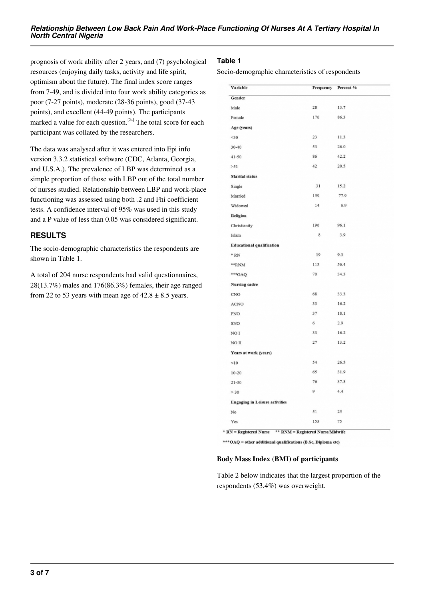prognosis of work ability after 2 years, and (7) psychological resources (enjoying daily tasks, activity and life spirit, optimism about the future). The final index score ranges from 7-49, and is divided into four work ability categories as poor (7-27 points), moderate (28-36 points), good (37-43 points), and excellent (44-49 points). The participants marked a value for each question.<sup>[24]</sup> The total score for each participant was collated by the researchers.

The data was analysed after it was entered into Epi info version 3.3.2 statistical software (CDC, Atlanta, Georgia, and U.S.A.). The prevalence of LBP was determined as a simple proportion of those with LBP out of the total number of nurses studied. Relationship between LBP and work-place functioning was assessed using both  $[2 \text{ and } Fh$  coefficient tests. A confidence interval of 95% was used in this study and a P value of less than 0.05 was considered significant.

# **RESULTS**

The socio-demographic characteristics the respondents are shown in Table 1.

A total of 204 nurse respondents had valid questionnaires, 28(13.7%) males and 176(86.3%) females, their age ranged from 22 to 53 years with mean age of  $42.8 \pm 8.5$  years.

## **Table 1**

Socio-demographic characteristics of respondents

| Variable                              | Frequency | Percent % |
|---------------------------------------|-----------|-----------|
| Gender                                |           |           |
| Male                                  | 28        | 13.7      |
| Female                                | 176       | 86.3      |
| Age (years)                           |           |           |
| <30                                   | 23        | 11.3      |
| $30 - 40$                             | 53        | 26.0      |
| $41 - 50$                             | 86        | 42.2      |
| >51                                   | 42        | 20.5      |
| <b>Marital</b> status                 |           |           |
| Single                                | 31        | 15.2      |
| Married                               | 159       | 77.9      |
| Widowed                               | 14        | 6.9       |
| Religion                              |           |           |
| Christianity                          | 196       | 96.1      |
| Islam                                 | 8         | 3.9       |
| <b>Educational qualification</b>      |           |           |
| $*$ RN                                | 19        | 9.3       |
| **RNM                                 | 115       | 56.4      |
| ***OAQ                                | 70        | 34.3      |
| <b>Nursing cadre</b>                  |           |           |
| CNO                                   | 68        | 33.3      |
| ACNO                                  | 33        | 16.2      |
| PNO                                   | 37        | 18.1      |
| SNO                                   | 6         | 2.9       |
| NO <sub>I</sub>                       | 33        | 16.2      |
| NO <sub>II</sub>                      | 27        | 13.2      |
| Years at work (years)                 |           |           |
| <10                                   | 54        | 26.5      |
| $10 - 20$                             | 65        | 31.9      |
| $21 - 30$                             | 76        | 37.3      |
| >30                                   | 9         | 4.4       |
| <b>Engaging in Leisure activities</b> |           |           |
| No                                    | 51        | 25        |
| Yes                                   | 153       | 75        |
|                                       |           |           |

\* RN = Registered Nurse \*\* RNM = Registered NurseMidwife

\*\*\* OAQ = other additional qualifications (B.Sc, Diploma etc)

## **Body Mass Index (BMI) of participants**

Table 2 below indicates that the largest proportion of the respondents (53.4%) was overweight.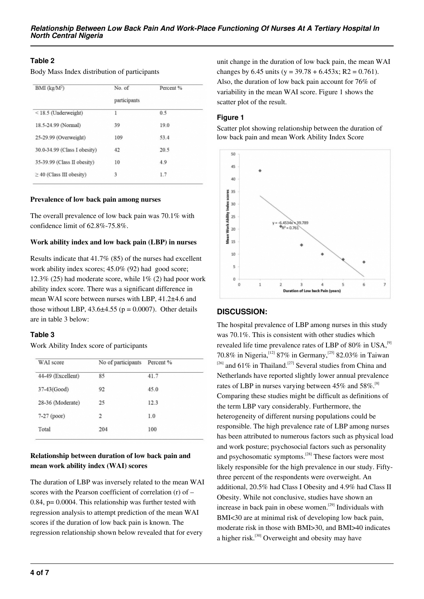## **Table 2**

Body Mass Index distribution of participants

| $BMI$ (kg/ $M2$ )             | No. of       | Percent % |
|-------------------------------|--------------|-----------|
|                               | participants |           |
| $<$ 18.5 (Underweight)        | 1            | 0.5       |
| 18.5-24.99 (Normal)           | 39           | 19.0      |
| 25-29.99 (Overweight)         | 109          | 53.4      |
| 30.0-34.99 (Class I obesity)  | 42           | 20.5      |
| 35-39.99 (Class II obesity)   | 10           | 4.9       |
| $\geq$ 40 (Class III obesity) | 3            | 1.7       |
|                               |              |           |

#### **Prevalence of low back pain among nurses**

The overall prevalence of low back pain was 70.1% with confidence limit of 62.8%-75.8%.

#### **Work ability index and low back pain (LBP) in nurses**

Results indicate that 41.7% (85) of the nurses had excellent work ability index scores; 45.0% (92) had good score; 12.3% (25) had moderate score, while  $1\%$  (2) had poor work ability index score. There was a significant difference in mean WAI score between nurses with LBP, 41.2±4.6 and those without LBP,  $43.6\pm4.55$  ( $p = 0.0007$ ). Other details are in table 3 below:

#### **Table 3**

Work Ability Index score of participants

| WAI score         | No of participants | Percent % |
|-------------------|--------------------|-----------|
| 44-49 (Excellent) | 85                 | 41.7      |
| 37-43(Good)       | 92                 | 45.0      |
| 28-36 (Moderate)  | 25                 | 12.3      |
| $7-27$ (poor)     | 2                  | 1.0       |
| Total             | 204                | 100       |
|                   |                    |           |

## **Relationship between duration of low back pain and mean work ability index (WAI) scores**

The duration of LBP was inversely related to the mean WAI scores with the Pearson coefficient of correlation (r) of – 0.84, p= 0.0004. This relationship was further tested with regression analysis to attempt prediction of the mean WAI scores if the duration of low back pain is known. The regression relationship shown below revealed that for every

unit change in the duration of low back pain, the mean WAI changes by 6.45 units (y =  $39.78 + 6.453x$ ; R2 = 0.761). Also, the duration of low back pain account for 76% of variability in the mean WAI score. Figure 1 shows the scatter plot of the result.

## **Figure 1**

Scatter plot showing relationship between the duration of low back pain and mean Work Ability Index Score



## **DISCUSSION:**

The hospital prevalence of LBP among nurses in this study was 70.1%. This is consistent with other studies which revealed life time prevalence rates of LBP of  $80\%$  in USA,<sup>[9]</sup> 70.8% in Nigeria,<sup>[12]</sup> 87% in Germany,<sup>[25]</sup> 82.03% in Taiwan  $[26]$  and 61% in Thailand.<sup>[27]</sup> Several studies from China and Netherlands have reported slightly lower annual prevalence rates of LBP in nurses varying between 45% and 58%.<sup>[8]</sup> Comparing these studies might be difficult as definitions of the term LBP vary considerably. Furthermore, the heterogeneity of different nursing populations could be responsible. The high prevalence rate of LBP among nurses has been attributed to numerous factors such as physical load and work posture; psychosocial factors such as personality and psychosomatic symptoms.[28] These factors were most likely responsible for the high prevalence in our study. Fiftythree percent of the respondents were overweight. An additional, 20.5% had Class I Obesity and 4.9% had Class II Obesity. While not conclusive, studies have shown an increase in back pain in obese women.<sup>[29]</sup> Individuals with BMI<30 are at minimal risk of developing low back pain, moderate risk in those with BMI>30, and BMI>40 indicates a higher risk.<sup>[30]</sup> Overweight and obesity may have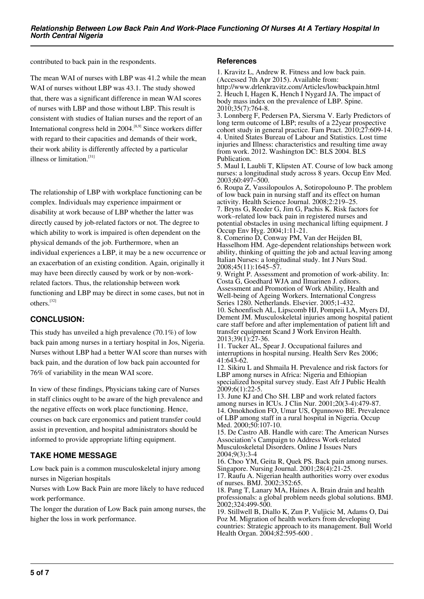contributed to back pain in the respondents.

The mean WAI of nurses with LBP was 41.2 while the mean WAI of nurses without LBP was 43.1. The study showed that, there was a significant difference in mean WAI scores of nurses with LBP and those without LBP. This result is consistent with studies of Italian nurses and the report of an International congress held in  $2004$ .<sup>[8,9]</sup> Since workers differ with regard to their capacities and demands of their work, their work ability is differently affected by a particular illness or limitation.<sup>[31]</sup>

The relationship of LBP with workplace functioning can be complex. Individuals may experience impairment or disability at work because of LBP whether the latter was directly caused by job-related factors or not. The degree to which ability to work is impaired is often dependent on the physical demands of the job. Furthermore, when an individual experiences a LBP, it may be a new occurrence or an exacerbation of an existing condition. Again, originally it may have been directly caused by work or by non-workrelated factors. Thus, the relationship between work functioning and LBP may be direct in some cases, but not in others.[32]

# **CONCLUSION:**

This study has unveiled a high prevalence (70.1%) of low back pain among nurses in a tertiary hospital in Jos, Nigeria. Nurses without LBP had a better WAI score than nurses with back pain, and the duration of low back pain accounted for 76% of variability in the mean WAI score.

In view of these findings, Physicians taking care of Nurses in staff clinics ought to be aware of the high prevalence and the negative effects on work place functioning. Hence, courses on back care ergonomics and patient transfer could assist in prevention, and hospital administrators should be informed to provide appropriate lifting equipment.

# **TAKE HOME MESSAGE**

Low back pain is a common musculoskeletal injury among nurses in Nigerian hospitals

Nurses with Low Back Pain are more likely to have reduced work performance.

The longer the duration of Low Back pain among nurses, the higher the loss in work performance.

#### **References**

1. Kravitz L, Andrew R. Fitness and low back pain. (Accessed 7th Apr 2015). Available from: http://www.drlenkravitz.com/Articles/lowbackpain.html 2. Heuch I, Hagen K, Hench I Nygard JA. The impact of body mass index on the prevalence of LBP. Spine. 2010;35(7):764-8. 3. Lonnberg F, Pedersen PA, Siersma V. Early Predictors of long term outcome of LBP; results of a 22year prospective cohort study in general practice. Fam Pract. 2010;27:609-14. 4. United States Bureau of Labour and Statistics. Lost time injuries and Illness: characteristics and resulting time away from work. 2012. Washington DC: BLS 2004. BLS Publication. 5. Maul I, Laubli T, Klipsten AT. Course of low back among nurses: a longitudinal study across 8 years. Occup Env Med. 2003;60:497–500. 6. Roupa Z, Vassilopoulos A, Sotiropolouno P. The problem of low back pain in nursing staff and its effect on human activity. Health Science Journal. 2008;2:219–25. 7. Bryns G, Reeder G, Jim G, Pachis K. Risk factors for work–related low back pain in registered nurses and potential obstacles in using mechanical lifting equipment. J Occup Env Hyg. 2004;1:11-21. 8. Comerino D, Conway PM, Van der Heijden BI, Hasselhom HM. Age-dependent relationships between work

ability, thinking of quitting the job and actual leaving among Italian Nurses: a longitudinal study. Int J Nurs Stud. 2008;45(11):1645–57.

9. Wright P. Assessment and promotion of work-ability. In: Costa G, Goedhard WJA and Ilmarinen J. editors.

Assessment and Promotion of Work Ability, Health and Well-being of Ageing Workers. International Congress Series 1280. Netherlands. Elsevier. 2005;1-432. 10. Schoenfisch AL, Lipscomb HJ, Pompeii LA, Myers DJ, Dement JM. Musculoskeletal injuries among hospital patient care staff before and after implementation of patient lift and transfer equipment Scand J Work Environ Health.

2013;39(1):27-36.

11. Tucker AL, Spear J. Occupational failures and interruptions in hospital nursing. Health Serv Res 2006; 41:643-62.

12. Sikiru L and Shmaila H. Prevalence and risk factors for LBP among nurses in Africa: Nigeria and Ethiopian specialized hospital survey study. East Afr J Public Health  $2009:6(1):22-5.$ 

13. June KJ and Cho SH. LBP and work related factors among nurses in ICUs. J Clin Nur. 2001;20(3-4):479-87. 14. Omokhodion FO, Umar US, Ogunnowo BE. Prevalence of LBP among staff in a rural hospital in Nigeria. Occup Med. 2000:50:107-10.

15. De Castro AB. Handle with care: The American Nurses Association's Campaign to Address Work-related Musculoskeletal Disorders. Online J Issues Nurs 2004;9(3):3-4

16. Choo YM, Geita R, Quek PS. Back pain among nurses. Singapore. Nursing Journal. 2001;28(4):21-25.

17. Raufu A. Nigerian health authorities worry over exodus of nurses. BMJ. 2002;352:65.

18. Pang T, Lanary MA, Haines A. Brain drain and health professionals: a global problem needs global solutions. BMJ. 2002;324:499-500.

19. Stillwell B, Diallo K, Zun P, Vuljicic M, Adams O, Dai Poz M. Migration of health workers from developing countries: Strategic approach to its management. Bull World Health Organ. 2004;82:595-600.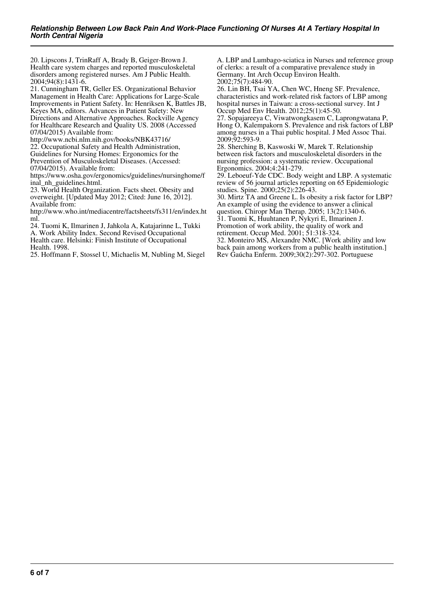20. Lipscons J, TrinRaff A, Brady B, Geiger-Brown J. Health care system charges and reported musculoskeletal disorders among registered nurses. Am J Public Health. 2004;94(8):1431-6.

21. Cunningham TR, Geller ES. Organizational Behavior Management in Health Care: Applications for Large-Scale Improvements in Patient Safety. In: Henriksen K, Battles JB, Keyes MA, editors. Advances in Patient Safety: New Directions and Alternative Approaches. Rockville Agency for Healthcare Research and Quality US. 2008 (Accessed 07/04/2015) Available from:

http://www.ncbi.nlm.nih.gov/books/NBK43716/ 22. Occupational Safety and Health Administration, Guidelines for Nursing Homes: Ergonomics for the Prevention of Musculoskeletal Diseases. (Accessed: 07/04/2015). Available from:

https://www.osha.gov/ergonomics/guidelines/nursinghome/f inal\_nh\_guidelines.html.

23. World Health Organization. Facts sheet. Obesity and overweight. [Updated May 2012; Cited: June 16, 2012]. Available from:

http://www.who.int/mediacentre/factsheets/fs311/en/index.ht ml.

24. Tuomi K, Ilmarinen J, Jahkola A, Katajarinne L, Tukki A. Work Ability Index. Second Revised Occupational Health care. Helsinki: Finish Institute of Occupational

Health. 1998. 25. Hoffmann F, Stossel U, Michaelis M, Nubling M, Siegel A. LBP and Lumbago-sciatica in Nurses and reference group of clerks: a result of a comparative prevalence study in Germany. Int Arch Occup Environ Health. 2002;75(7):484-90.

26. Lin BH, Tsai YA, Chen WC, Hneng SF. Prevalence, characteristics and work-related risk factors of LBP among hospital nurses in Taiwan: a cross-sectional survey. Int J Occup Med Env Health. 2012;25(1):45-50.

27. Sopajareeya C, Viwatwongkasem C, Laprongwatana P, Hong O, Kalempakorn S. Prevalence and risk factors of LBP among nurses in a Thai public hospital. J Med Assoc Thai. 2009;92:593-9.

28. Sherching B, Kaswoski W, Marek T. Relationship between risk factors and musculoskeletal disorders in the nursing profession: a systematic review. Occupational Ergonomics. 2004;4:241-279.

29. Leboeuf-Yde CDC. Body weight and LBP. A systematic review of 56 journal articles reporting on 65 Epidemiologic studies. Spine. 2000;25(2):226-43.

30. Mirtz TA and Greene L. Is obesity a risk factor for LBP? An example of using the evidence to answer a clinical question. Chiropr Man Therap. 2005; 13(2):1340-6.

31. Tuomi K, Huuhtanen P, Nykyri E, Ilmarinen J.

Promotion of work ability, the quality of work and

retirement. Occup Med. 2001; 51:318-324.

32. Monteiro MS, Alexandre NMC. [Work ability and low back pain among workers from a public health institution.] Rev Gaúcha Enferm. 2009;30(2):297-302. Portuguese